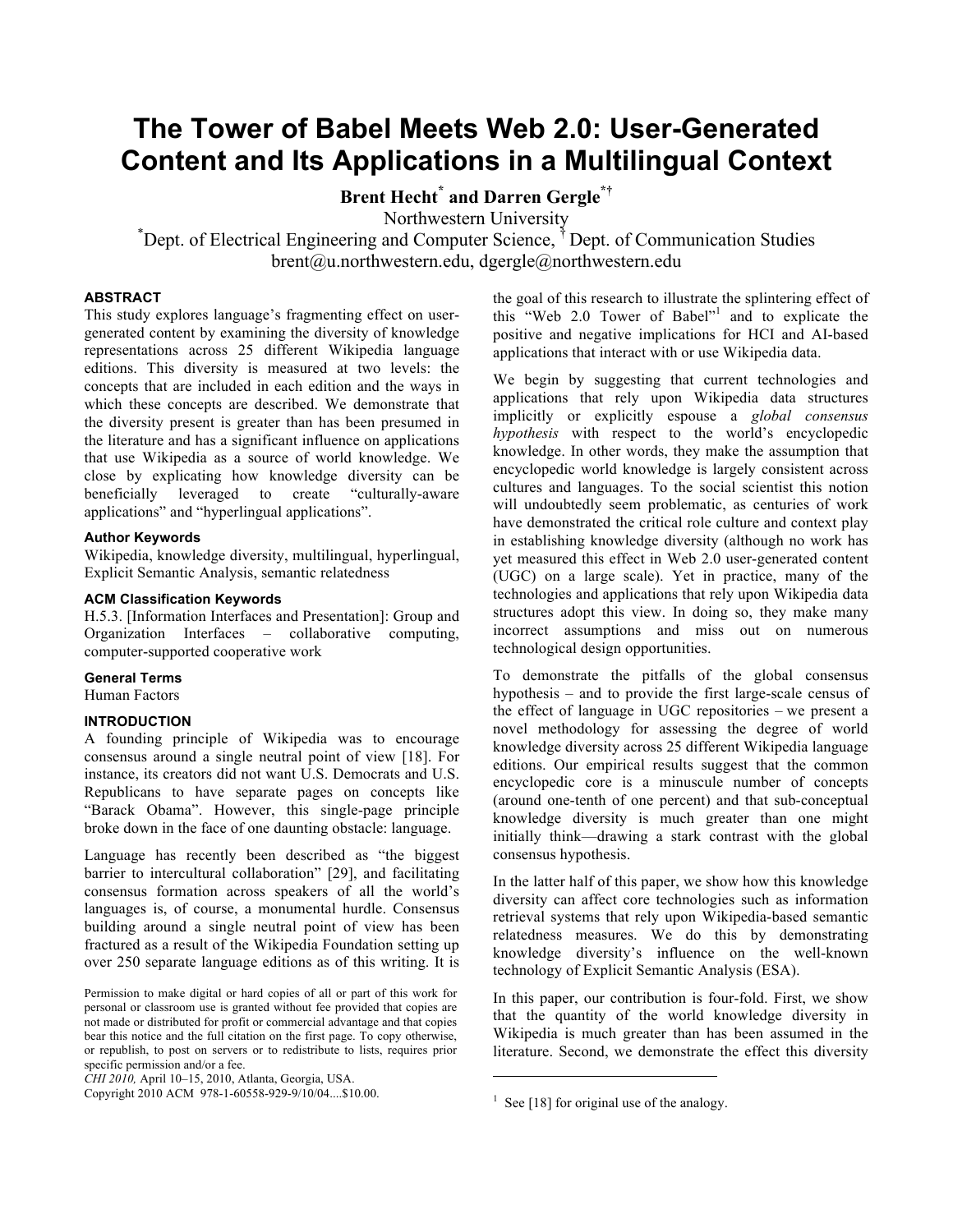# **The Tower of Babel Meets Web 2.0: User-Generated Content and Its Applications in a Multilingual Context**

**Brent Hecht\* and Darren Gergle\*†**

Northwestern University<br>
\*Dept. of Electrical Engineering and Computer Science, <sup>†</sup>Dept. of Communication Studies brent@u.northwestern.edu, dgergle@northwestern.edu

## **ABSTRACT**

This study explores language's fragmenting effect on usergenerated content by examining the diversity of knowledge representations across 25 different Wikipedia language editions. This diversity is measured at two levels: the concepts that are included in each edition and the ways in which these concepts are described. We demonstrate that the diversity present is greater than has been presumed in the literature and has a significant influence on applications that use Wikipedia as a source of world knowledge. We close by explicating how knowledge diversity can be beneficially leveraged to create "culturally-aware applications" and "hyperlingual applications".

# **Author Keywords**

Wikipedia, knowledge diversity, multilingual, hyperlingual, Explicit Semantic Analysis, semantic relatedness

# **ACM Classification Keywords**

H.5.3. [Information Interfaces and Presentation]: Group and Organization Interfaces – collaborative computing, computer-supported cooperative work

## **General Terms**

Human Factors

## **INTRODUCTION**

A founding principle of Wikipedia was to encourage consensus around a single neutral point of view [18]. For instance, its creators did not want U.S. Democrats and U.S. Republicans to have separate pages on concepts like "Barack Obama". However, this single-page principle broke down in the face of one daunting obstacle: language.

Language has recently been described as "the biggest barrier to intercultural collaboration" [29], and facilitating consensus formation across speakers of all the world's languages is, of course, a monumental hurdle. Consensus building around a single neutral point of view has been fractured as a result of the Wikipedia Foundation setting up over 250 separate language editions as of this writing. It is

*CHI 2010,* April 10–15, 2010, Atlanta, Georgia, USA.

the goal of this research to illustrate the splintering effect of this "Web 2.0 Tower of Babel"<sup>1</sup> and to explicate the positive and negative implications for HCI and AI-based applications that interact with or use Wikipedia data.

We begin by suggesting that current technologies and applications that rely upon Wikipedia data structures implicitly or explicitly espouse a *global consensus hypothesis* with respect to the world's encyclopedic knowledge. In other words, they make the assumption that encyclopedic world knowledge is largely consistent across cultures and languages. To the social scientist this notion will undoubtedly seem problematic, as centuries of work have demonstrated the critical role culture and context play in establishing knowledge diversity (although no work has yet measured this effect in Web 2.0 user-generated content (UGC) on a large scale). Yet in practice, many of the technologies and applications that rely upon Wikipedia data structures adopt this view. In doing so, they make many incorrect assumptions and miss out on numerous technological design opportunities.

To demonstrate the pitfalls of the global consensus hypothesis – and to provide the first large-scale census of the effect of language in UGC repositories – we present a novel methodology for assessing the degree of world knowledge diversity across 25 different Wikipedia language editions. Our empirical results suggest that the common encyclopedic core is a minuscule number of concepts (around one-tenth of one percent) and that sub-conceptual knowledge diversity is much greater than one might initially think—drawing a stark contrast with the global consensus hypothesis.

In the latter half of this paper, we show how this knowledge diversity can affect core technologies such as information retrieval systems that rely upon Wikipedia-based semantic relatedness measures. We do this by demonstrating knowledge diversity's influence on the well-known technology of Explicit Semantic Analysis (ESA).

In this paper, our contribution is four-fold. First, we show that the quantity of the world knowledge diversity in Wikipedia is much greater than has been assumed in the literature. Second, we demonstrate the effect this diversity

 $\overline{a}$ 

Permission to make digital or hard copies of all or part of this work for personal or classroom use is granted without fee provided that copies are not made or distributed for profit or commercial advantage and that copies bear this notice and the full citation on the first page. To copy otherwise, or republish, to post on servers or to redistribute to lists, requires prior specific permission and/or a fee.

Copyright 2010 ACM 978-1-60558-929-9/10/04....\$10.00.

<sup>&</sup>lt;sup>1</sup> See [18] for original use of the analogy.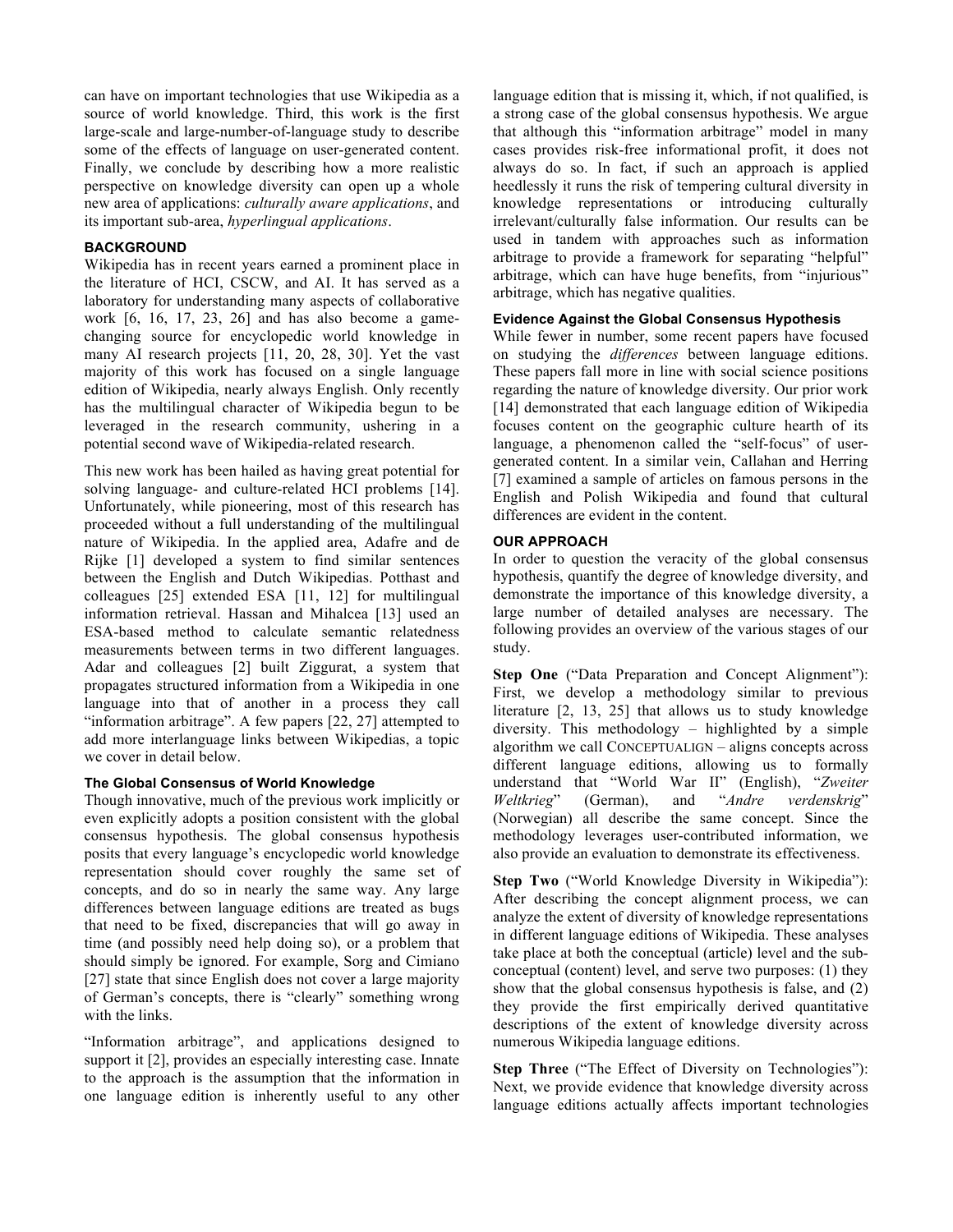can have on important technologies that use Wikipedia as a source of world knowledge. Third, this work is the first large-scale and large-number-of-language study to describe some of the effects of language on user-generated content. Finally, we conclude by describing how a more realistic perspective on knowledge diversity can open up a whole new area of applications: *culturally aware applications*, and its important sub-area, *hyperlingual applications*.

# **BACKGROUND**

Wikipedia has in recent years earned a prominent place in the literature of HCI, CSCW, and AI. It has served as a laboratory for understanding many aspects of collaborative work [6, 16, 17, 23, 26] and has also become a gamechanging source for encyclopedic world knowledge in many AI research projects [11, 20, 28, 30]. Yet the vast majority of this work has focused on a single language edition of Wikipedia, nearly always English. Only recently has the multilingual character of Wikipedia begun to be leveraged in the research community, ushering in a potential second wave of Wikipedia-related research.

This new work has been hailed as having great potential for solving language- and culture-related HCI problems [14]. Unfortunately, while pioneering, most of this research has proceeded without a full understanding of the multilingual nature of Wikipedia. In the applied area, Adafre and de Rijke [1] developed a system to find similar sentences between the English and Dutch Wikipedias. Potthast and colleagues [25] extended ESA [11, 12] for multilingual information retrieval. Hassan and Mihalcea [13] used an ESA-based method to calculate semantic relatedness measurements between terms in two different languages. Adar and colleagues [2] built Ziggurat, a system that propagates structured information from a Wikipedia in one language into that of another in a process they call "information arbitrage". A few papers [22, 27] attempted to add more interlanguage links between Wikipedias, a topic we cover in detail below.

# **The Global Consensus of World Knowledge**

Though innovative, much of the previous work implicitly or even explicitly adopts a position consistent with the global consensus hypothesis. The global consensus hypothesis posits that every language's encyclopedic world knowledge representation should cover roughly the same set of concepts, and do so in nearly the same way. Any large differences between language editions are treated as bugs that need to be fixed, discrepancies that will go away in time (and possibly need help doing so), or a problem that should simply be ignored. For example, Sorg and Cimiano [27] state that since English does not cover a large majority of German's concepts, there is "clearly" something wrong with the links.

"Information arbitrage", and applications designed to support it [2], provides an especially interesting case. Innate to the approach is the assumption that the information in one language edition is inherently useful to any other

language edition that is missing it, which, if not qualified, is a strong case of the global consensus hypothesis. We argue that although this "information arbitrage" model in many cases provides risk-free informational profit, it does not always do so. In fact, if such an approach is applied heedlessly it runs the risk of tempering cultural diversity in knowledge representations or introducing culturally irrelevant/culturally false information. Our results can be used in tandem with approaches such as information arbitrage to provide a framework for separating "helpful" arbitrage, which can have huge benefits, from "injurious" arbitrage, which has negative qualities.

# **Evidence Against the Global Consensus Hypothesis**

While fewer in number, some recent papers have focused on studying the *differences* between language editions. These papers fall more in line with social science positions regarding the nature of knowledge diversity. Our prior work [14] demonstrated that each language edition of Wikipedia focuses content on the geographic culture hearth of its language, a phenomenon called the "self-focus" of usergenerated content. In a similar vein, Callahan and Herring [7] examined a sample of articles on famous persons in the English and Polish Wikipedia and found that cultural differences are evident in the content.

## **OUR APPROACH**

In order to question the veracity of the global consensus hypothesis, quantify the degree of knowledge diversity, and demonstrate the importance of this knowledge diversity, a large number of detailed analyses are necessary. The following provides an overview of the various stages of our study.

**Step One** ("Data Preparation and Concept Alignment"): First, we develop a methodology similar to previous literature [2, 13, 25] that allows us to study knowledge diversity. This methodology – highlighted by a simple algorithm we call CONCEPTUALIGN – aligns concepts across different language editions, allowing us to formally understand that "World War II" (English), "*Zweiter Weltkrieg*" (German), and "*Andre verdenskrig*" (Norwegian) all describe the same concept. Since the methodology leverages user-contributed information, we also provide an evaluation to demonstrate its effectiveness.

**Step Two** ("World Knowledge Diversity in Wikipedia"): After describing the concept alignment process, we can analyze the extent of diversity of knowledge representations in different language editions of Wikipedia. These analyses take place at both the conceptual (article) level and the subconceptual (content) level, and serve two purposes: (1) they show that the global consensus hypothesis is false, and (2) they provide the first empirically derived quantitative descriptions of the extent of knowledge diversity across numerous Wikipedia language editions.

**Step Three** ("The Effect of Diversity on Technologies"): Next, we provide evidence that knowledge diversity across language editions actually affects important technologies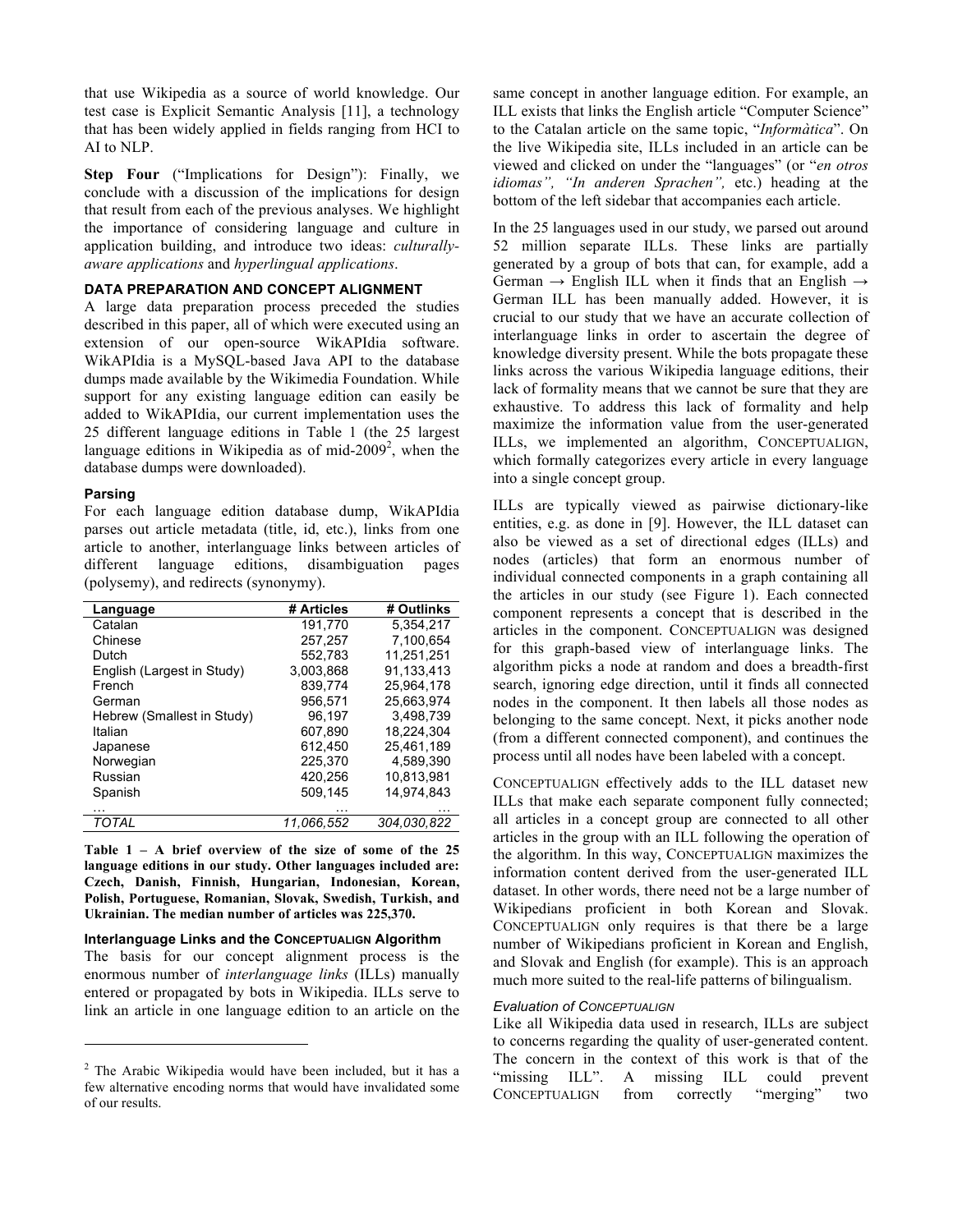that use Wikipedia as a source of world knowledge. Our test case is Explicit Semantic Analysis [11], a technology that has been widely applied in fields ranging from HCI to AI to NLP.

**Step Four** ("Implications for Design"): Finally, we conclude with a discussion of the implications for design that result from each of the previous analyses. We highlight the importance of considering language and culture in application building, and introduce two ideas: *culturallyaware applications* and *hyperlingual applications*.

## **DATA PREPARATION AND CONCEPT ALIGNMENT**

A large data preparation process preceded the studies described in this paper, all of which were executed using an extension of our open-source WikAPIdia software. WikAPIdia is a MySQL-based Java API to the database dumps made available by the Wikimedia Foundation. While support for any existing language edition can easily be added to WikAPIdia, our current implementation uses the 25 different language editions in Table 1 (the 25 largest language editions in Wikipedia as of mid-2009<sup>2</sup>, when the database dumps were downloaded).

# **Parsing**

 $\overline{a}$ 

For each language edition database dump, WikAPIdia parses out article metadata (title, id, etc.), links from one article to another, interlanguage links between articles of different language editions, disambiguation pages (polysemy), and redirects (synonymy).

| Language                   | # Articles | # Outlinks  |
|----------------------------|------------|-------------|
| Catalan                    | 191.770    | 5.354.217   |
| Chinese                    | 257.257    | 7.100.654   |
| Dutch                      | 552.783    | 11,251,251  |
| English (Largest in Study) | 3,003,868  | 91,133,413  |
| French                     | 839.774    | 25.964.178  |
| German                     | 956.571    | 25.663.974  |
| Hebrew (Smallest in Study) | 96.197     | 3.498.739   |
| Italian                    | 607.890    | 18,224,304  |
| Japanese                   | 612.450    | 25,461,189  |
| Norwegian                  | 225.370    | 4.589.390   |
| Russian                    | 420.256    | 10.813.981  |
| Spanish                    | 509,145    | 14,974,843  |
|                            |            |             |
| TOTAL                      | 11.066.552 | 304,030,822 |

**Table 1 – A brief overview of the size of some of the 25 language editions in our study. Other languages included are: Czech, Danish, Finnish, Hungarian, Indonesian, Korean, Polish, Portuguese, Romanian, Slovak, Swedish, Turkish, and Ukrainian. The median number of articles was 225,370.**

#### **Interlanguage Links and the CONCEPTUALIGN Algorithm**

The basis for our concept alignment process is the enormous number of *interlanguage links* (ILLs) manually entered or propagated by bots in Wikipedia. ILLs serve to link an article in one language edition to an article on the

same concept in another language edition. For example, an ILL exists that links the English article "Computer Science" to the Catalan article on the same topic, "*Informàtica*". On the live Wikipedia site, ILLs included in an article can be viewed and clicked on under the "languages" (or "*en otros idiomas", "In anderen Sprachen",* etc.) heading at the bottom of the left sidebar that accompanies each article.

In the 25 languages used in our study, we parsed out around 52 million separate ILLs. These links are partially generated by a group of bots that can, for example, add a German  $\rightarrow$  English ILL when it finds that an English  $\rightarrow$ German ILL has been manually added. However, it is crucial to our study that we have an accurate collection of interlanguage links in order to ascertain the degree of knowledge diversity present. While the bots propagate these links across the various Wikipedia language editions, their lack of formality means that we cannot be sure that they are exhaustive. To address this lack of formality and help maximize the information value from the user-generated ILLs, we implemented an algorithm, CONCEPTUALIGN, which formally categorizes every article in every language into a single concept group.

ILLs are typically viewed as pairwise dictionary-like entities, e.g. as done in [9]. However, the ILL dataset can also be viewed as a set of directional edges (ILLs) and nodes (articles) that form an enormous number of individual connected components in a graph containing all the articles in our study (see Figure 1). Each connected component represents a concept that is described in the articles in the component. CONCEPTUALIGN was designed for this graph-based view of interlanguage links. The algorithm picks a node at random and does a breadth-first search, ignoring edge direction, until it finds all connected nodes in the component. It then labels all those nodes as belonging to the same concept. Next, it picks another node (from a different connected component), and continues the process until all nodes have been labeled with a concept.

CONCEPTUALIGN effectively adds to the ILL dataset new ILLs that make each separate component fully connected; all articles in a concept group are connected to all other articles in the group with an ILL following the operation of the algorithm. In this way, CONCEPTUALIGN maximizes the information content derived from the user-generated ILL dataset. In other words, there need not be a large number of Wikipedians proficient in both Korean and Slovak. CONCEPTUALIGN only requires is that there be a large number of Wikipedians proficient in Korean and English, and Slovak and English (for example). This is an approach much more suited to the real-life patterns of bilingualism.

## *Evaluation of CONCEPTUALIGN*

Like all Wikipedia data used in research, ILLs are subject to concerns regarding the quality of user-generated content. The concern in the context of this work is that of the "missing ILL". A missing ILL could prevent CONCEPTUALIGN from correctly "merging" two

<sup>&</sup>lt;sup>2</sup> The Arabic Wikipedia would have been included, but it has a few alternative encoding norms that would have invalidated some of our results.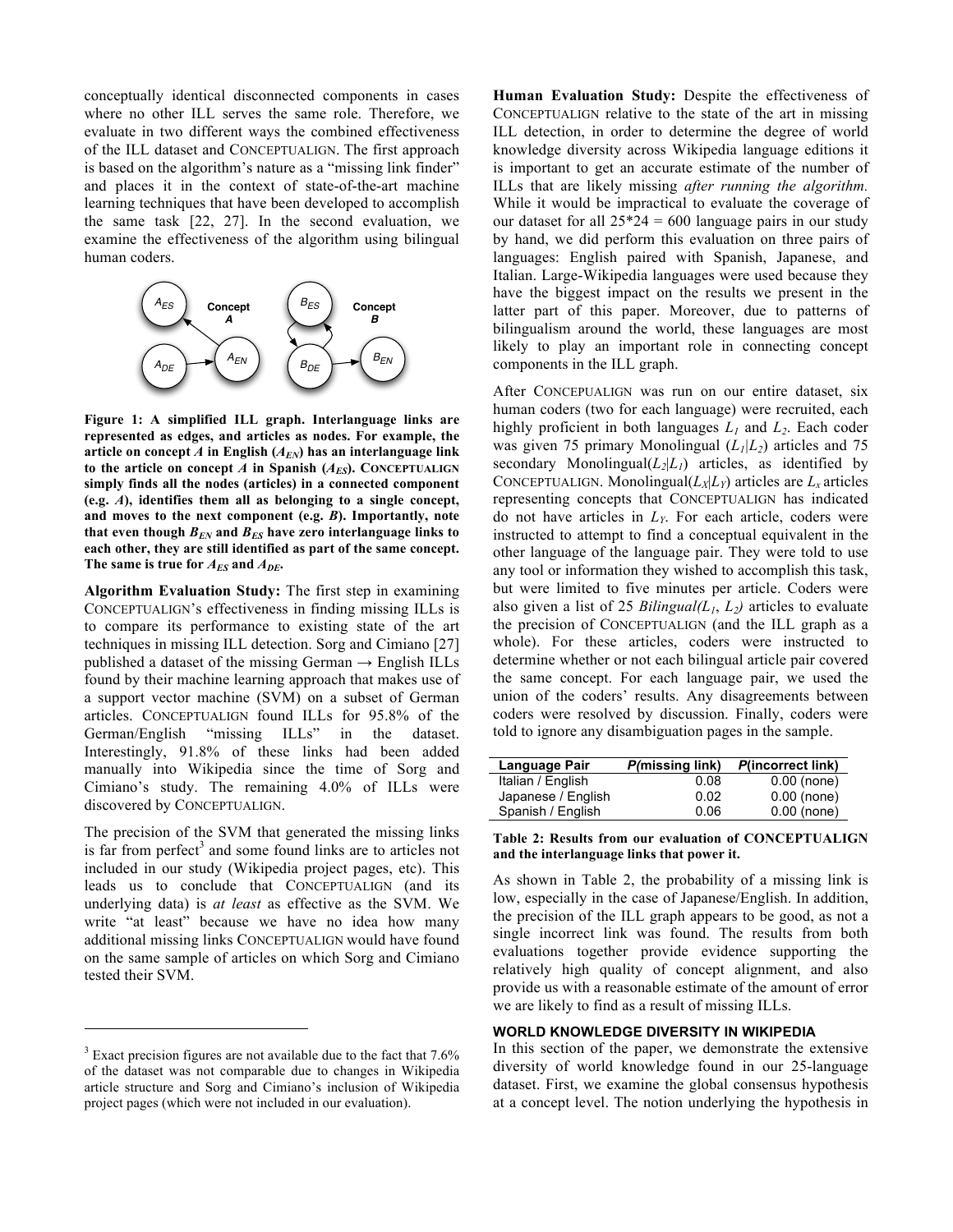conceptually identical disconnected components in cases where no other ILL serves the same role. Therefore, we evaluate in two different ways the combined effectiveness of the ILL dataset and CONCEPTUALIGN. The first approach is based on the algorithm's nature as a "missing link finder" and places it in the context of state-of-the-art machine learning techniques that have been developed to accomplish the same task [22, 27]. In the second evaluation, we examine the effectiveness of the algorithm using bilingual human coders.



**Figure 1: A simplified ILL graph. Interlanguage links are represented as edges, and articles as nodes. For example, the**  article on concept  $\vec{A}$  in English ( $A_{EN}$ ) has an interlanguage link to the article on concept *A* in Spanish  $(A_{ES})$ . CONCEPTUALIGN **simply finds all the nodes (articles) in a connected component (e.g.** *A***), identifies them all as belonging to a single concept, and moves to the next component (e.g.** *B***). Importantly, note**  that even though  $B_{EN}$  and  $B_{ES}$  have zero interlanguage links to **each other, they are still identified as part of the same concept.**  The same is true for  $A_{ES}$  and  $A_{DE}$ .

**Algorithm Evaluation Study:** The first step in examining CONCEPTUALIGN's effectiveness in finding missing ILLs is to compare its performance to existing state of the art techniques in missing ILL detection. Sorg and Cimiano [27] published a dataset of the missing German  $\rightarrow$  English ILLs found by their machine learning approach that makes use of a support vector machine (SVM) on a subset of German articles. CONCEPTUALIGN found ILLs for 95.8% of the German/English "missing ILLs" in the dataset. Interestingly, 91.8% of these links had been added manually into Wikipedia since the time of Sorg and Cimiano's study. The remaining 4.0% of ILLs were discovered by CONCEPTUALIGN.

The precision of the SVM that generated the missing links is far from perfect<sup>3</sup> and some found links are to articles not included in our study (Wikipedia project pages, etc). This leads us to conclude that CONCEPTUALIGN (and its underlying data) is *at least* as effective as the SVM. We write "at least" because we have no idea how many additional missing links CONCEPTUALIGN would have found on the same sample of articles on which Sorg and Cimiano tested their SVM.

 $\overline{a}$ 

**Human Evaluation Study:** Despite the effectiveness of CONCEPTUALIGN relative to the state of the art in missing ILL detection, in order to determine the degree of world knowledge diversity across Wikipedia language editions it is important to get an accurate estimate of the number of ILLs that are likely missing *after running the algorithm.*  While it would be impractical to evaluate the coverage of our dataset for all  $25*24 = 600$  language pairs in our study by hand, we did perform this evaluation on three pairs of languages: English paired with Spanish, Japanese, and Italian. Large-Wikipedia languages were used because they have the biggest impact on the results we present in the latter part of this paper. Moreover, due to patterns of bilingualism around the world, these languages are most likely to play an important role in connecting concept components in the ILL graph.

After CONCEPUALIGN was run on our entire dataset, six human coders (two for each language) were recruited, each highly proficient in both languages  $L_1$  and  $L_2$ . Each coder was given 75 primary Monolingual  $(L_1|L_2)$  articles and 75 secondary Monolingual $(L_2|L_1)$  articles, as identified by CONCEPTUALIGN. Monolingual $(L_X|L_Y)$  articles are  $L_X$  articles representing concepts that CONCEPTUALIGN has indicated do not have articles in *LY*. For each article, coders were instructed to attempt to find a conceptual equivalent in the other language of the language pair. They were told to use any tool or information they wished to accomplish this task, but were limited to five minutes per article. Coders were also given a list of 25 *Bilingual* $(L_1, L_2)$  articles to evaluate the precision of CONCEPTUALIGN (and the ILL graph as a whole). For these articles, coders were instructed to determine whether or not each bilingual article pair covered the same concept. For each language pair, we used the union of the coders' results. Any disagreements between coders were resolved by discussion. Finally, coders were told to ignore any disambiguation pages in the sample.

| Language Pair      | P(missing link) | <b>P(incorrect link)</b> |
|--------------------|-----------------|--------------------------|
| Italian / English  | 0.08            | $0.00$ (none)            |
| Japanese / English | 0.02            | $0.00$ (none)            |
| Spanish / English  | 0.06            | $0.00$ (none)            |

## **Table 2: Results from our evaluation of CONCEPTUALIGN and the interlanguage links that power it.**

As shown in Table 2, the probability of a missing link is low, especially in the case of Japanese/English. In addition, the precision of the ILL graph appears to be good, as not a single incorrect link was found. The results from both evaluations together provide evidence supporting the relatively high quality of concept alignment, and also provide us with a reasonable estimate of the amount of error we are likely to find as a result of missing ILLs.

## **WORLD KNOWLEDGE DIVERSITY IN WIKIPEDIA**

In this section of the paper, we demonstrate the extensive diversity of world knowledge found in our 25-language dataset. First, we examine the global consensus hypothesis at a concept level. The notion underlying the hypothesis in

 $3$  Exact precision figures are not available due to the fact that 7.6% of the dataset was not comparable due to changes in Wikipedia article structure and Sorg and Cimiano's inclusion of Wikipedia project pages (which were not included in our evaluation).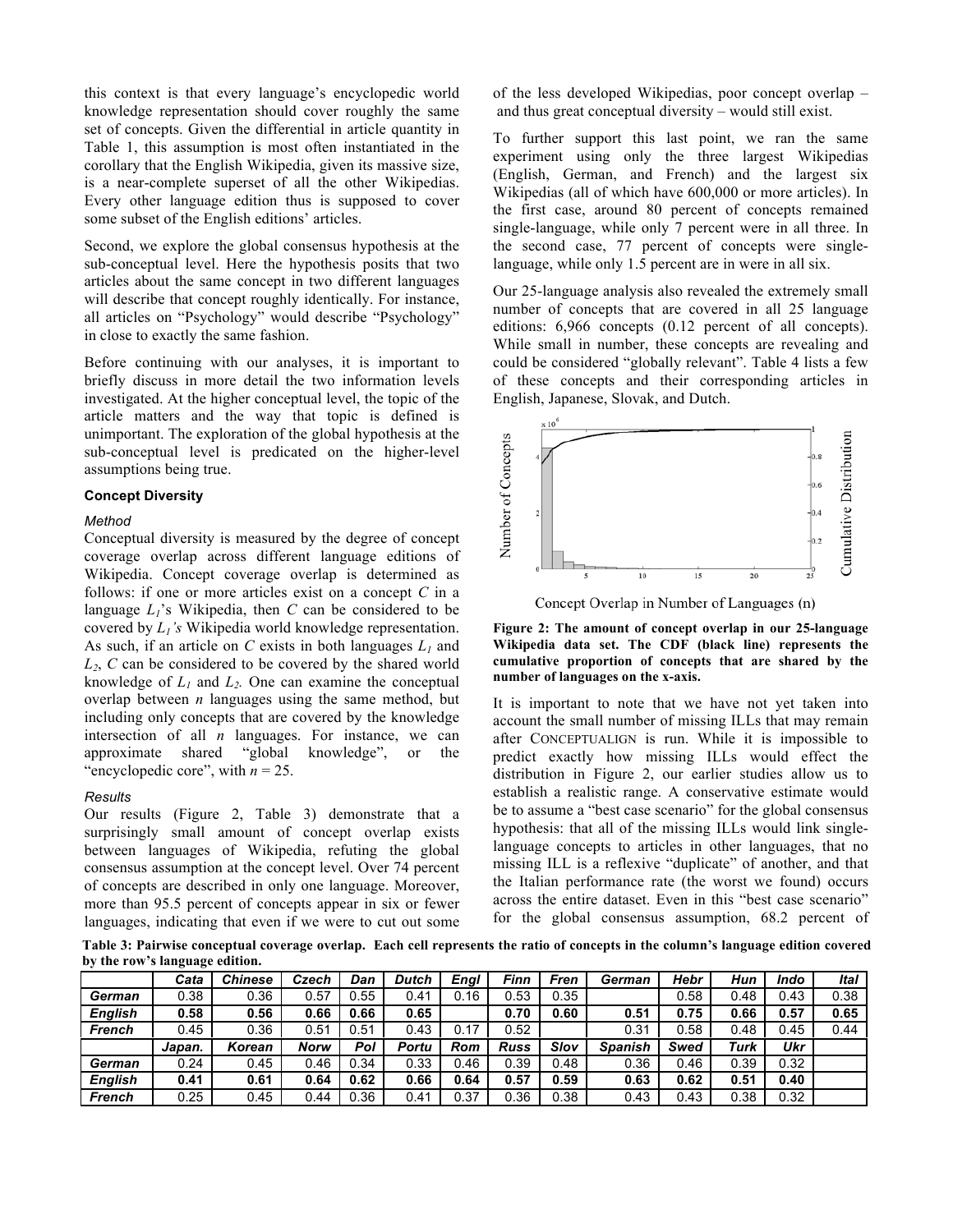this context is that every language's encyclopedic world knowledge representation should cover roughly the same set of concepts. Given the differential in article quantity in Table 1, this assumption is most often instantiated in the corollary that the English Wikipedia, given its massive size, is a near-complete superset of all the other Wikipedias. Every other language edition thus is supposed to cover some subset of the English editions' articles.

Second, we explore the global consensus hypothesis at the sub-conceptual level. Here the hypothesis posits that two articles about the same concept in two different languages will describe that concept roughly identically. For instance, all articles on "Psychology" would describe "Psychology" in close to exactly the same fashion.

Before continuing with our analyses, it is important to briefly discuss in more detail the two information levels investigated. At the higher conceptual level, the topic of the article matters and the way that topic is defined is unimportant. The exploration of the global hypothesis at the sub-conceptual level is predicated on the higher-level assumptions being true.

#### **Concept Diversity**

#### *Method*

Conceptual diversity is measured by the degree of concept coverage overlap across different language editions of Wikipedia. Concept coverage overlap is determined as follows: if one or more articles exist on a concept *C* in a language  $L_1$ 's Wikipedia, then  $C$  can be considered to be covered by *L1's* Wikipedia world knowledge representation. As such, if an article on  $C$  exists in both languages  $L_1$  and *L2*, *C* can be considered to be covered by the shared world knowledge of  $L_1$  and  $L_2$ . One can examine the conceptual overlap between *n* languages using the same method, but including only concepts that are covered by the knowledge intersection of all *n* languages. For instance, we can approximate shared "global knowledge", or the "encyclopedic core", with  $n = 25$ .

#### *Results*

Our results (Figure 2, Table 3) demonstrate that a surprisingly small amount of concept overlap exists between languages of Wikipedia, refuting the global consensus assumption at the concept level. Over 74 percent of concepts are described in only one language. Moreover, more than 95.5 percent of concepts appear in six or fewer languages, indicating that even if we were to cut out some

of the less developed Wikipedias, poor concept overlap – and thus great conceptual diversity – would still exist.

To further support this last point, we ran the same experiment using only the three largest Wikipedias (English, German, and French) and the largest six Wikipedias (all of which have 600,000 or more articles). In the first case, around 80 percent of concepts remained single-language, while only 7 percent were in all three. In the second case, 77 percent of concepts were singlelanguage, while only 1.5 percent are in were in all six.

Our 25-language analysis also revealed the extremely small number of concepts that are covered in all 25 language editions: 6,966 concepts (0.12 percent of all concepts). While small in number, these concepts are revealing and could be considered "globally relevant". Table 4 lists a few of these concepts and their corresponding articles in English, Japanese, Slovak, and Dutch.



Concept Overlap in Number of Languages (n)

**Figure 2: The amount of concept overlap in our 25-language Wikipedia data set. The CDF (black line) represents the cumulative proportion of concepts that are shared by the number of languages on the x-axis.** 

It is important to note that we have not yet taken into account the small number of missing ILLs that may remain after CONCEPTUALIGN is run. While it is impossible to predict exactly how missing ILLs would effect the distribution in Figure 2, our earlier studies allow us to establish a realistic range. A conservative estimate would be to assume a "best case scenario" for the global consensus hypothesis: that all of the missing ILLs would link singlelanguage concepts to articles in other languages, that no missing ILL is a reflexive "duplicate" of another, and that the Italian performance rate (the worst we found) occurs across the entire dataset. Even in this "best case scenario" for the global consensus assumption, 68.2 percent of

**Table 3: Pairwise conceptual coverage overlap. Each cell represents the ratio of concepts in the column's language edition covered by the row's language edition.** 

|                | Cata   | <b>Chinese</b> | Czech | Dan  | <b>Dutch</b>  | Enal | Finn        | Fren | German         | Hebr        | Hun  | <b>Indo</b> | Ital |
|----------------|--------|----------------|-------|------|---------------|------|-------------|------|----------------|-------------|------|-------------|------|
| German         | 0.38   | 0.36           | 0.57  | 0.55 | $0.4^{\circ}$ | 0.16 | 0.53        | 0.35 |                | 0.58        | 0.48 | 0.43        | 0.38 |
| <b>English</b> | 0.58   | 0.56           | 0.66  | 0.66 | 0.65          |      | 0.70        | 0.60 | 0.51           | 0.75        | 0.66 | 0.57        | 0.65 |
| <b>French</b>  | 0.45   | 0.36           | 0.51  | 0.51 | 0.43          | 0.17 | 0.52        |      | 0.31           | 0.58        | 0.48 | 0.45        | 0.44 |
|                | Japan. | Korean         | Norw  | Pol  | Portu         | Rom  | <b>Russ</b> | Slov | <b>Spanish</b> | <b>Swed</b> | Turk | Ukr         |      |
| German         | 0.24   | 0.45           | 0.46  | 0.34 | 0.33          | 0.46 | 0.39        | 0.48 | 0.36           | 0.46        | 0.39 | 0.32        |      |
| <b>English</b> | 0.41   | 0.61           | 0.64  | 0.62 | 0.66          | 0.64 | 0.57        | 0.59 | 0.63           | 0.62        | 0.51 | 0.40        |      |
| French         | 0.25   | 0.45           | 0.44  | 0.36 | 0.41          | 0.37 | 0.36        | 0.38 | 0.43           | 0.43        | 0.38 | 0.32        |      |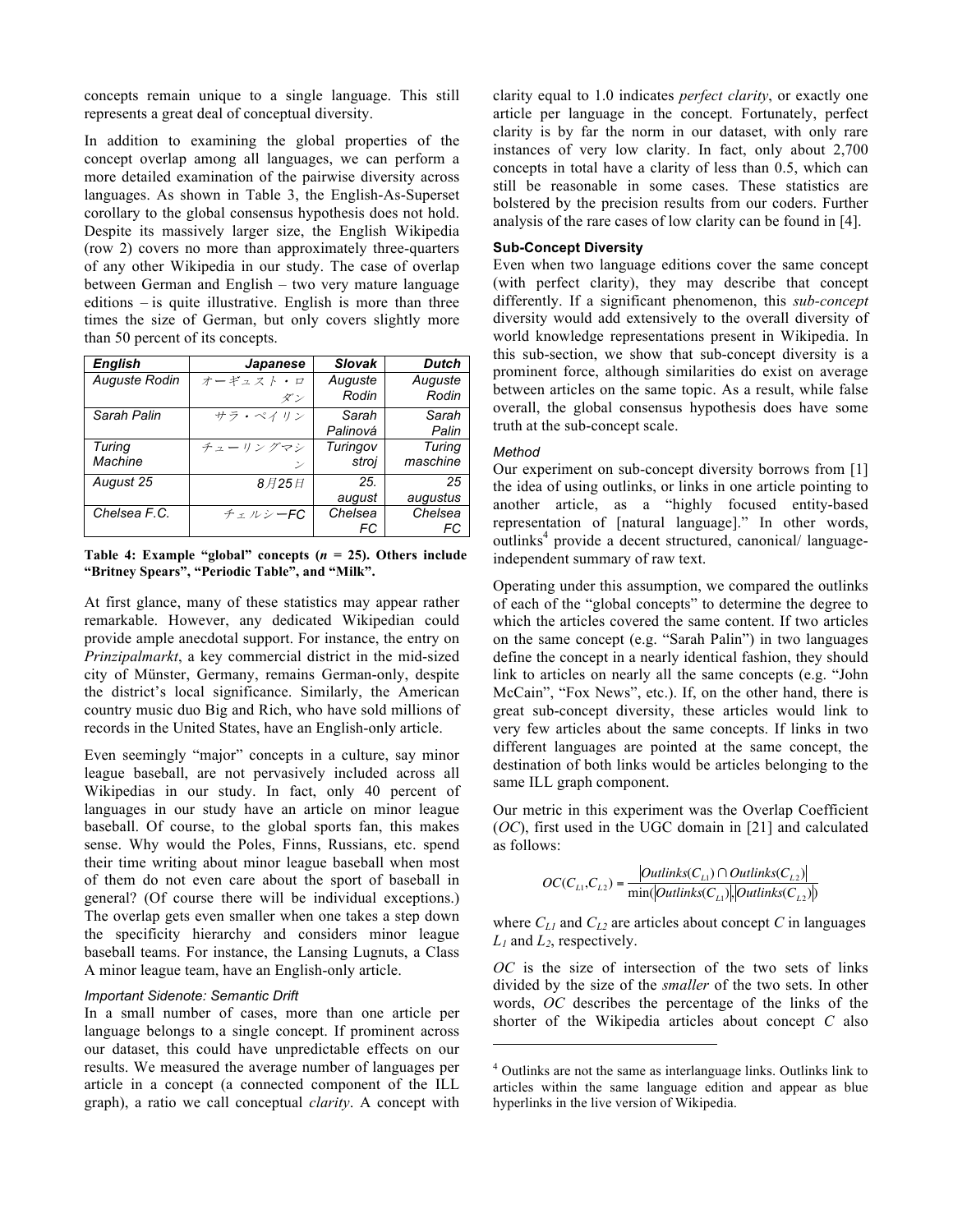concepts remain unique to a single language. This still represents a great deal of conceptual diversity.

In addition to examining the global properties of the concept overlap among all languages, we can perform a more detailed examination of the pairwise diversity across languages. As shown in Table 3, the English-As-Superset corollary to the global consensus hypothesis does not hold. Despite its massively larger size, the English Wikipedia (row 2) covers no more than approximately three-quarters of any other Wikipedia in our study. The case of overlap between German and English – two very mature language editions – is quite illustrative. English is more than three times the size of German, but only covers slightly more than 50 percent of its concepts.

| <b>English</b> | Japanese | <b>Slovak</b> | <b>Dutch</b> |
|----------------|----------|---------------|--------------|
| Auguste Rodin  | オーギュスト・ロ | Auguste       | Auguste      |
|                | ダン       | Rodin         | Rodin        |
| Sarah Palin    | サラ・ペイリン  | Sarah         | Sarah        |
|                |          | Palinová      | Palin        |
| Turing         | チューリングマシ | Turingov      | Turing       |
| Machine        |          | stroi         | maschine     |
| August 25      | 8月25日    | 25.           | 25           |
|                |          | august        | augustus     |
| Chelsea F.C.   | チェルシーFC  | Chelsea       | Chelsea      |
|                |          | FC            | FC           |

**Table 4: Example "global" concepts (***n* **= 25). Others include "Britney Spears", "Periodic Table", and "Milk".** 

At first glance, many of these statistics may appear rather remarkable. However, any dedicated Wikipedian could provide ample anecdotal support. For instance, the entry on *Prinzipalmarkt*, a key commercial district in the mid-sized city of Münster, Germany, remains German-only, despite the district's local significance. Similarly, the American country music duo Big and Rich, who have sold millions of records in the United States, have an English-only article.

Even seemingly "major" concepts in a culture, say minor league baseball, are not pervasively included across all Wikipedias in our study. In fact, only 40 percent of languages in our study have an article on minor league baseball. Of course, to the global sports fan, this makes sense. Why would the Poles, Finns, Russians, etc. spend their time writing about minor league baseball when most of them do not even care about the sport of baseball in general? (Of course there will be individual exceptions.) The overlap gets even smaller when one takes a step down the specificity hierarchy and considers minor league baseball teams. For instance, the Lansing Lugnuts, a Class A minor league team, have an English-only article.

#### *Important Sidenote: Semantic Drift*

In a small number of cases, more than one article per language belongs to a single concept. If prominent across our dataset, this could have unpredictable effects on our results. We measured the average number of languages per article in a concept (a connected component of the ILL graph), a ratio we call conceptual *clarity*. A concept with

clarity equal to 1.0 indicates *perfect clarity*, or exactly one article per language in the concept. Fortunately, perfect clarity is by far the norm in our dataset, with only rare instances of very low clarity. In fact, only about 2,700 concepts in total have a clarity of less than 0.5, which can still be reasonable in some cases. These statistics are bolstered by the precision results from our coders. Further analysis of the rare cases of low clarity can be found in [4].

## **Sub-Concept Diversity**

Even when two language editions cover the same concept (with perfect clarity), they may describe that concept differently. If a significant phenomenon, this *sub-concept* diversity would add extensively to the overall diversity of world knowledge representations present in Wikipedia. In this sub-section, we show that sub-concept diversity is a prominent force, although similarities do exist on average between articles on the same topic. As a result, while false overall, the global consensus hypothesis does have some truth at the sub-concept scale.

## *Method*

 $\overline{a}$ 

Our experiment on sub-concept diversity borrows from [1] the idea of using outlinks, or links in one article pointing to another article, as a "highly focused entity-based representation of [natural language]." In other words, outlinks 4 provide a decent structured, canonical/ languageindependent summary of raw text.

Operating under this assumption, we compared the outlinks of each of the "global concepts" to determine the degree to which the articles covered the same content. If two articles on the same concept (e.g. "Sarah Palin") in two languages define the concept in a nearly identical fashion, they should link to articles on nearly all the same concepts (e.g. "John McCain", "Fox News", etc.). If, on the other hand, there is great sub-concept diversity, these articles would link to very few articles about the same concepts. If links in two different languages are pointed at the same concept, the destination of both links would be articles belonging to the same ILL graph component.

Our metric in this experiment was the Overlap Coefficient (*OC*), first used in the UGC domain in [21] and calculated as follows:

$$
OC(C_{L1}, C_{L2}) = \frac{|Outlinks(C_{L1}) \cap Outlinks(C_{L2})|}{\min(Outlinks(C_{L1})|, |Outlinks(C_{L2})|)}
$$

where  $C_{LI}$  and  $C_{L2}$  are articles about concept  $C$  in languages  $L_1$  and  $L_2$ , respectively.

! *OC* is the size of intersection of the two sets of links divided by the size of the *smaller* of the two sets. In other words, *OC* describes the percentage of the links of the shorter of the Wikipedia articles about concept *C* also

<sup>&</sup>lt;sup>4</sup> Outlinks are not the same as interlanguage links. Outlinks link to articles within the same language edition and appear as blue hyperlinks in the live version of Wikipedia.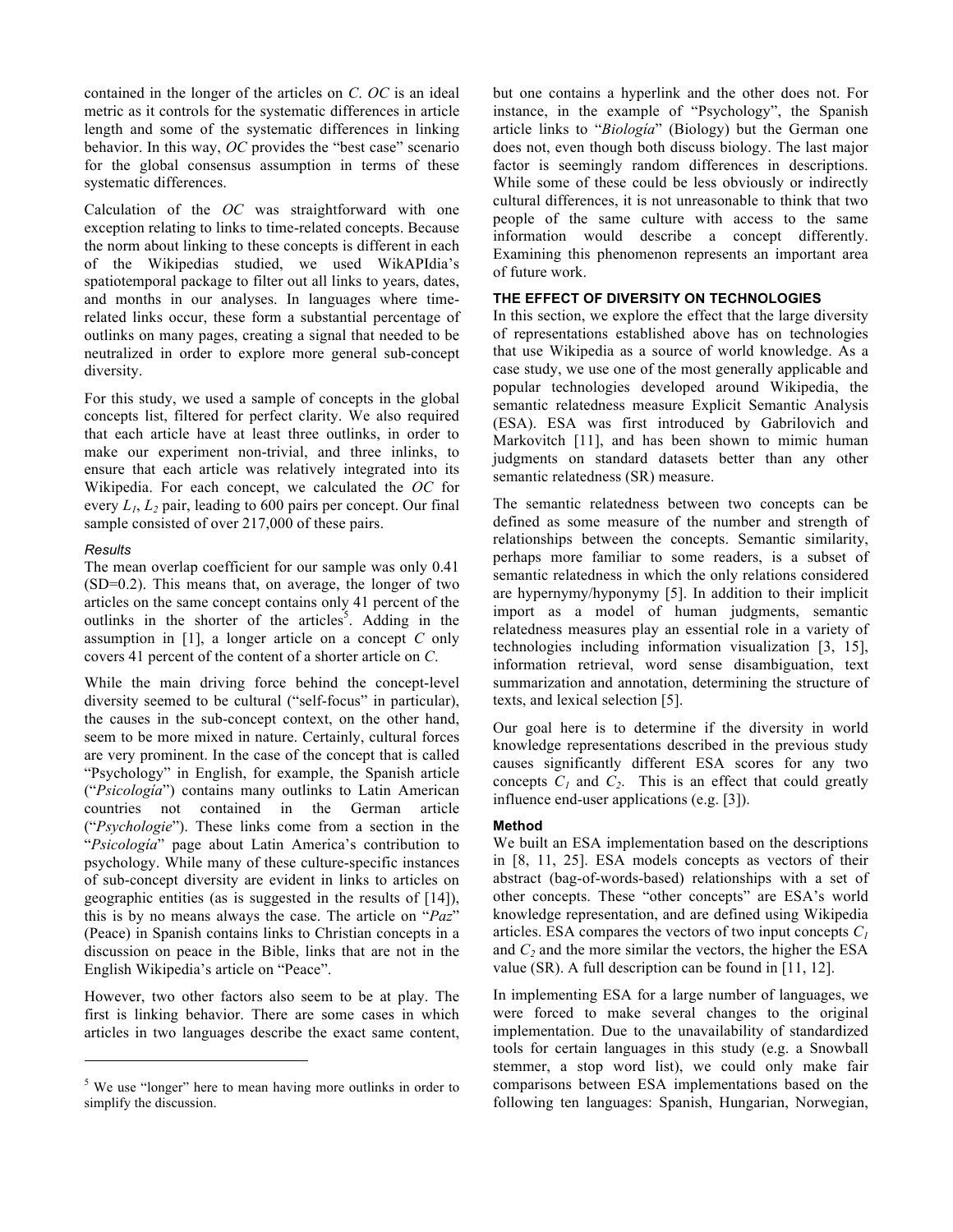contained in the longer of the articles on *C*. *OC* is an ideal metric as it controls for the systematic differences in article length and some of the systematic differences in linking behavior. In this way, *OC* provides the "best case" scenario for the global consensus assumption in terms of these systematic differences.

Calculation of the *OC* was straightforward with one exception relating to links to time-related concepts. Because the norm about linking to these concepts is different in each of the Wikipedias studied, we used WikAPIdia's spatiotemporal package to filter out all links to years, dates, and months in our analyses. In languages where timerelated links occur, these form a substantial percentage of outlinks on many pages, creating a signal that needed to be neutralized in order to explore more general sub-concept diversity.

For this study, we used a sample of concepts in the global concepts list, filtered for perfect clarity. We also required that each article have at least three outlinks, in order to make our experiment non-trivial, and three inlinks, to ensure that each article was relatively integrated into its Wikipedia. For each concept, we calculated the *OC* for every  $L_1$ ,  $L_2$  pair, leading to 600 pairs per concept. Our final sample consisted of over 217,000 of these pairs.

### *Results*

 $\overline{a}$ 

The mean overlap coefficient for our sample was only 0.41 (SD=0.2). This means that, on average, the longer of two articles on the same concept contains only 41 percent of the outlinks in the shorter of the articles<sup>5</sup>. Adding in the assumption in [1], a longer article on a concept *C* only covers 41 percent of the content of a shorter article on *C*.

While the main driving force behind the concept-level diversity seemed to be cultural ("self-focus" in particular), the causes in the sub-concept context, on the other hand, seem to be more mixed in nature. Certainly, cultural forces are very prominent. In the case of the concept that is called "Psychology" in English, for example, the Spanish article ("*Psicología*") contains many outlinks to Latin American countries not contained in the German article ("*Psychologie*"). These links come from a section in the "*Psicología*" page about Latin America's contribution to psychology. While many of these culture-specific instances of sub-concept diversity are evident in links to articles on geographic entities (as is suggested in the results of [14]), this is by no means always the case. The article on "*Paz*" (Peace) in Spanish contains links to Christian concepts in a discussion on peace in the Bible, links that are not in the English Wikipedia's article on "Peace".

However, two other factors also seem to be at play. The first is linking behavior. There are some cases in which articles in two languages describe the exact same content, but one contains a hyperlink and the other does not. For instance, in the example of "Psychology", the Spanish article links to "*Biología*" (Biology) but the German one does not, even though both discuss biology. The last major factor is seemingly random differences in descriptions. While some of these could be less obviously or indirectly cultural differences, it is not unreasonable to think that two people of the same culture with access to the same information would describe a concept differently. Examining this phenomenon represents an important area of future work.

## **THE EFFECT OF DIVERSITY ON TECHNOLOGIES**

In this section, we explore the effect that the large diversity of representations established above has on technologies that use Wikipedia as a source of world knowledge. As a case study, we use one of the most generally applicable and popular technologies developed around Wikipedia, the semantic relatedness measure Explicit Semantic Analysis (ESA). ESA was first introduced by Gabrilovich and Markovitch [11], and has been shown to mimic human judgments on standard datasets better than any other semantic relatedness (SR) measure.

The semantic relatedness between two concepts can be defined as some measure of the number and strength of relationships between the concepts. Semantic similarity, perhaps more familiar to some readers, is a subset of semantic relatedness in which the only relations considered are hypernymy/hyponymy [5]. In addition to their implicit import as a model of human judgments, semantic relatedness measures play an essential role in a variety of technologies including information visualization [3, 15], information retrieval, word sense disambiguation, text summarization and annotation, determining the structure of texts, and lexical selection [5].

Our goal here is to determine if the diversity in world knowledge representations described in the previous study causes significantly different ESA scores for any two concepts  $C_1$  and  $C_2$ . This is an effect that could greatly influence end-user applications (e.g. [3]).

## **Method**

We built an ESA implementation based on the descriptions in [8, 11, 25]. ESA models concepts as vectors of their abstract (bag-of-words-based) relationships with a set of other concepts. These "other concepts" are ESA's world knowledge representation, and are defined using Wikipedia articles. ESA compares the vectors of two input concepts  $C_1$ and  $C_2$  and the more similar the vectors, the higher the ESA value (SR). A full description can be found in [11, 12].

In implementing ESA for a large number of languages, we were forced to make several changes to the original implementation. Due to the unavailability of standardized tools for certain languages in this study (e.g. a Snowball stemmer, a stop word list), we could only make fair comparisons between ESA implementations based on the following ten languages: Spanish, Hungarian, Norwegian,

<sup>&</sup>lt;sup>5</sup> We use "longer" here to mean having more outlinks in order to simplify the discussion.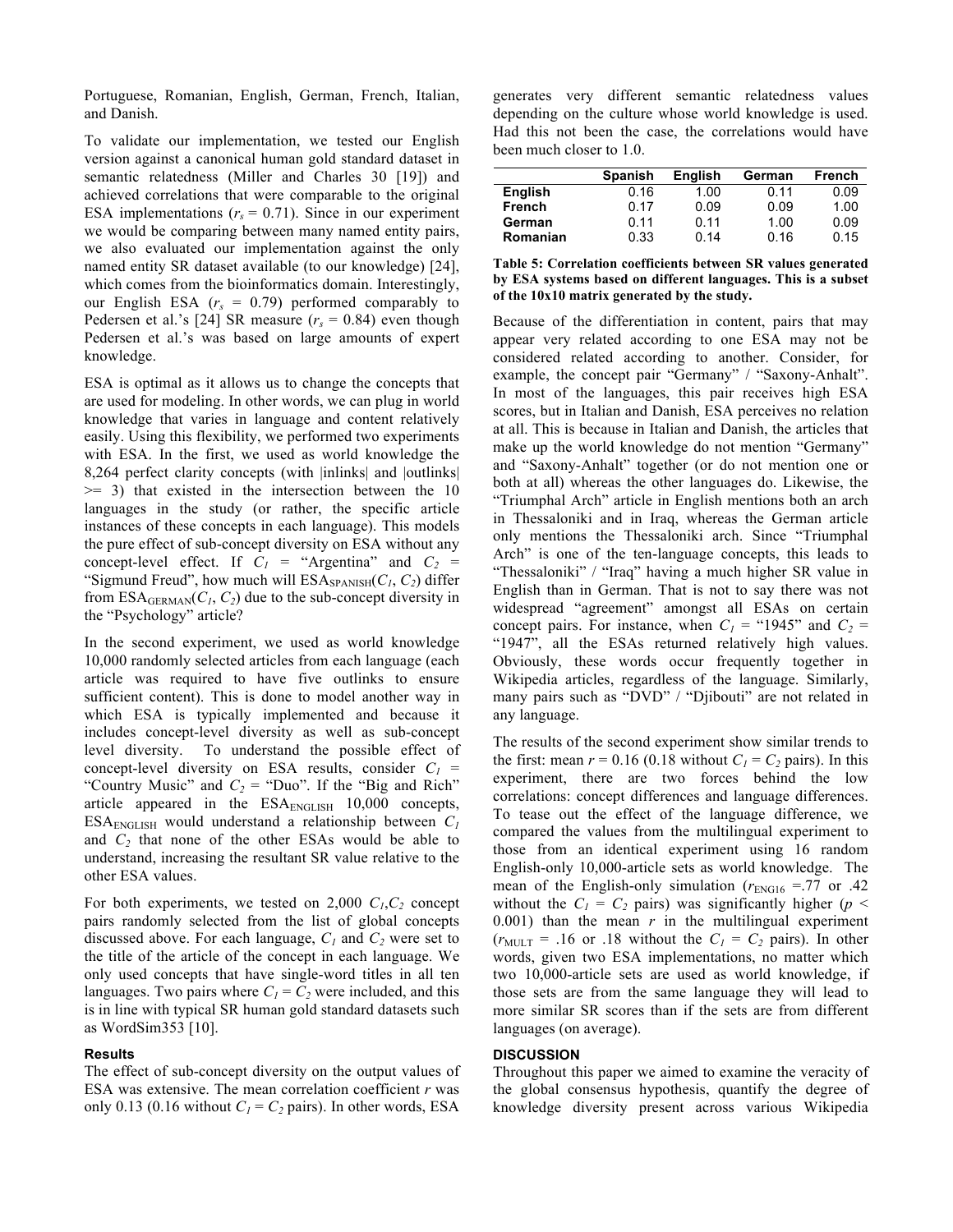Portuguese, Romanian, English, German, French, Italian, and Danish.

To validate our implementation, we tested our English version against a canonical human gold standard dataset in semantic relatedness (Miller and Charles 30 [19]) and achieved correlations that were comparable to the original ESA implementations  $(r<sub>s</sub> = 0.71)$ . Since in our experiment we would be comparing between many named entity pairs, we also evaluated our implementation against the only named entity SR dataset available (to our knowledge) [24], which comes from the bioinformatics domain. Interestingly, our English ESA  $(r_s = 0.79)$  performed comparably to Pedersen et al.'s [24] SR measure  $(r<sub>s</sub> = 0.84)$  even though Pedersen et al.'s was based on large amounts of expert knowledge.

ESA is optimal as it allows us to change the concepts that are used for modeling. In other words, we can plug in world knowledge that varies in language and content relatively easily. Using this flexibility, we performed two experiments with ESA. In the first, we used as world knowledge the 8,264 perfect clarity concepts (with |inlinks| and |outlinks|  $>=$  3) that existed in the intersection between the 10 languages in the study (or rather, the specific article instances of these concepts in each language). This models the pure effect of sub-concept diversity on ESA without any concept-level effect. If  $C_1$  = "Argentina" and  $C_2$  = "Sigmund Freud", how much will ESA<sub>SPANISH</sub>( $C_I$ ,  $C_2$ ) differ from  $ESA<sub>GERMAN</sub>(C<sub>1</sub>, C<sub>2</sub>)$  due to the sub-concept diversity in the "Psychology" article?

In the second experiment, we used as world knowledge 10,000 randomly selected articles from each language (each article was required to have five outlinks to ensure sufficient content). This is done to model another way in which ESA is typically implemented and because it includes concept-level diversity as well as sub-concept level diversity. To understand the possible effect of concept-level diversity on ESA results, consider  $C_1$  = "Country Music" and  $C_2$  = "Duo". If the "Big and Rich" article appeared in the ESA<sub>ENGLISH</sub> 10,000 concepts, ESAENGLISH would understand a relationship between *C1* and *C2* that none of the other ESAs would be able to understand, increasing the resultant SR value relative to the other ESA values.

For both experiments, we tested on 2,000  $C_1$ ,  $C_2$  concept pairs randomly selected from the list of global concepts discussed above. For each language,  $C_I$  and  $C_2$  were set to the title of the article of the concept in each language. We only used concepts that have single-word titles in all ten languages. Two pairs where  $C_1 = C_2$  were included, and this is in line with typical SR human gold standard datasets such as WordSim353 [10].

#### **Results**

The effect of sub-concept diversity on the output values of ESA was extensive. The mean correlation coefficient *r* was only 0.13 (0.16 without  $C_1 = C_2$  pairs). In other words, ESA

generates very different semantic relatedness values depending on the culture whose world knowledge is used. Had this not been the case, the correlations would have been much closer to 1.0.

|               | <b>Spanish</b> | English | German | French |
|---------------|----------------|---------|--------|--------|
| English       | 0.16           | 1.00    | 0.11   | 0.09   |
| <b>French</b> | 0.17           | 0.09    | 0.09   | 1.00   |
| German        | 0.11           | 0.11    | 1.00   | 0.09   |
| Romanian      | 0.33           | 0.14    | 0.16   | 0.15   |

#### **Table 5: Correlation coefficients between SR values generated by ESA systems based on different languages. This is a subset of the 10x10 matrix generated by the study.**

Because of the differentiation in content, pairs that may appear very related according to one ESA may not be considered related according to another. Consider, for example, the concept pair "Germany" / "Saxony-Anhalt". In most of the languages, this pair receives high ESA scores, but in Italian and Danish, ESA perceives no relation at all. This is because in Italian and Danish, the articles that make up the world knowledge do not mention "Germany" and "Saxony-Anhalt" together (or do not mention one or both at all) whereas the other languages do. Likewise, the "Triumphal Arch" article in English mentions both an arch in Thessaloniki and in Iraq, whereas the German article only mentions the Thessaloniki arch. Since "Triumphal Arch" is one of the ten-language concepts, this leads to "Thessaloniki" / "Iraq" having a much higher SR value in English than in German. That is not to say there was not widespread "agreement" amongst all ESAs on certain concept pairs. For instance, when  $C_1$  = "1945" and  $C_2$  = "1947", all the ESAs returned relatively high values. Obviously, these words occur frequently together in Wikipedia articles, regardless of the language. Similarly, many pairs such as "DVD" / "Djibouti" are not related in any language.

The results of the second experiment show similar trends to the first: mean  $r = 0.16$  (0.18 without  $C_1 = C_2$  pairs). In this experiment, there are two forces behind the low correlations: concept differences and language differences. To tease out the effect of the language difference, we compared the values from the multilingual experiment to those from an identical experiment using 16 random English-only 10,000-article sets as world knowledge. The mean of the English-only simulation ( $r_{ENGI6}$  =.77 or .42) without the  $C_1 = C_2$  pairs) was significantly higher ( $p <$  $0.001$ ) than the mean  $r$  in the multilingual experiment  $(r_{\text{MULT}} = .16 \text{ or } .18 \text{ without the } C_1 = C_2 \text{ pairs})$ . In other words, given two ESA implementations, no matter which two 10,000-article sets are used as world knowledge, if those sets are from the same language they will lead to more similar SR scores than if the sets are from different languages (on average).

# **DISCUSSION**

Throughout this paper we aimed to examine the veracity of the global consensus hypothesis, quantify the degree of knowledge diversity present across various Wikipedia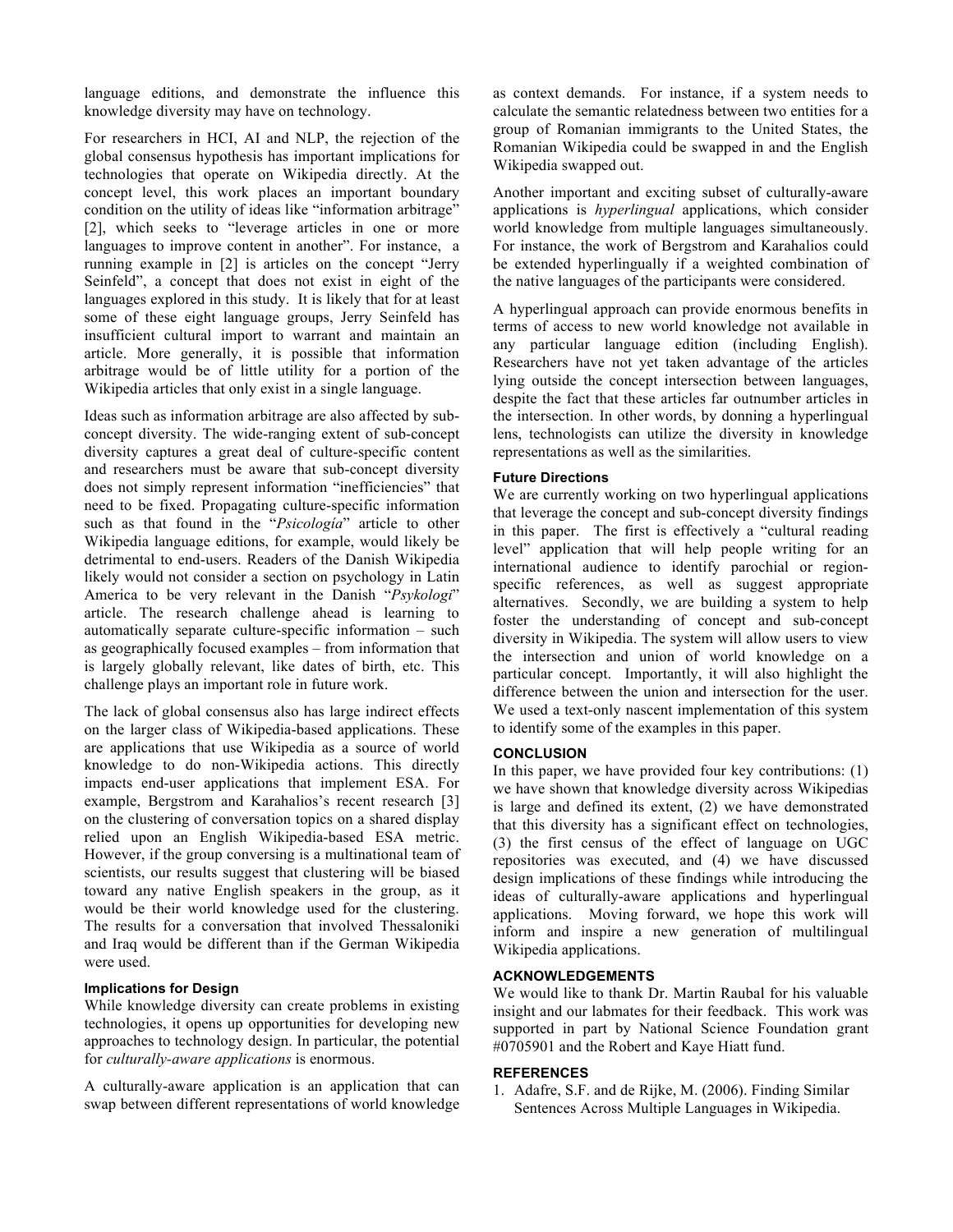language editions, and demonstrate the influence this knowledge diversity may have on technology.

For researchers in HCI, AI and NLP, the rejection of the global consensus hypothesis has important implications for technologies that operate on Wikipedia directly. At the concept level, this work places an important boundary condition on the utility of ideas like "information arbitrage" [2], which seeks to "leverage articles in one or more languages to improve content in another". For instance, a running example in [2] is articles on the concept "Jerry Seinfeld", a concept that does not exist in eight of the languages explored in this study. It is likely that for at least some of these eight language groups, Jerry Seinfeld has insufficient cultural import to warrant and maintain an article. More generally, it is possible that information arbitrage would be of little utility for a portion of the Wikipedia articles that only exist in a single language.

Ideas such as information arbitrage are also affected by subconcept diversity. The wide-ranging extent of sub-concept diversity captures a great deal of culture-specific content and researchers must be aware that sub-concept diversity does not simply represent information "inefficiencies" that need to be fixed. Propagating culture-specific information such as that found in the "*Psicología*" article to other Wikipedia language editions, for example, would likely be detrimental to end-users. Readers of the Danish Wikipedia likely would not consider a section on psychology in Latin America to be very relevant in the Danish "*Psykologi*" article. The research challenge ahead is learning to automatically separate culture-specific information – such as geographically focused examples – from information that is largely globally relevant, like dates of birth, etc. This challenge plays an important role in future work.

The lack of global consensus also has large indirect effects on the larger class of Wikipedia-based applications. These are applications that use Wikipedia as a source of world knowledge to do non-Wikipedia actions. This directly impacts end-user applications that implement ESA. For example, Bergstrom and Karahalios's recent research [3] on the clustering of conversation topics on a shared display relied upon an English Wikipedia-based ESA metric. However, if the group conversing is a multinational team of scientists, our results suggest that clustering will be biased toward any native English speakers in the group, as it would be their world knowledge used for the clustering. The results for a conversation that involved Thessaloniki and Iraq would be different than if the German Wikipedia were used.

## **Implications for Design**

While knowledge diversity can create problems in existing technologies, it opens up opportunities for developing new approaches to technology design. In particular, the potential for *culturally-aware applications* is enormous.

A culturally-aware application is an application that can swap between different representations of world knowledge as context demands. For instance, if a system needs to calculate the semantic relatedness between two entities for a group of Romanian immigrants to the United States, the Romanian Wikipedia could be swapped in and the English Wikipedia swapped out.

Another important and exciting subset of culturally-aware applications is *hyperlingual* applications, which consider world knowledge from multiple languages simultaneously. For instance, the work of Bergstrom and Karahalios could be extended hyperlingually if a weighted combination of the native languages of the participants were considered.

A hyperlingual approach can provide enormous benefits in terms of access to new world knowledge not available in any particular language edition (including English). Researchers have not yet taken advantage of the articles lying outside the concept intersection between languages, despite the fact that these articles far outnumber articles in the intersection. In other words, by donning a hyperlingual lens, technologists can utilize the diversity in knowledge representations as well as the similarities.

# **Future Directions**

We are currently working on two hyperlingual applications that leverage the concept and sub-concept diversity findings in this paper. The first is effectively a "cultural reading level" application that will help people writing for an international audience to identify parochial or regionspecific references, as well as suggest appropriate alternatives. Secondly, we are building a system to help foster the understanding of concept and sub-concept diversity in Wikipedia. The system will allow users to view the intersection and union of world knowledge on a particular concept. Importantly, it will also highlight the difference between the union and intersection for the user. We used a text-only nascent implementation of this system to identify some of the examples in this paper.

## **CONCLUSION**

In this paper, we have provided four key contributions: (1) we have shown that knowledge diversity across Wikipedias is large and defined its extent, (2) we have demonstrated that this diversity has a significant effect on technologies, (3) the first census of the effect of language on UGC repositories was executed, and (4) we have discussed design implications of these findings while introducing the ideas of culturally-aware applications and hyperlingual applications. Moving forward, we hope this work will inform and inspire a new generation of multilingual Wikipedia applications.

# **ACKNOWLEDGEMENTS**

We would like to thank Dr. Martin Raubal for his valuable insight and our labmates for their feedback. This work was supported in part by National Science Foundation grant #0705901 and the Robert and Kaye Hiatt fund.

## **REFERENCES**

1. Adafre, S.F. and de Rijke, M. (2006). Finding Similar Sentences Across Multiple Languages in Wikipedia.